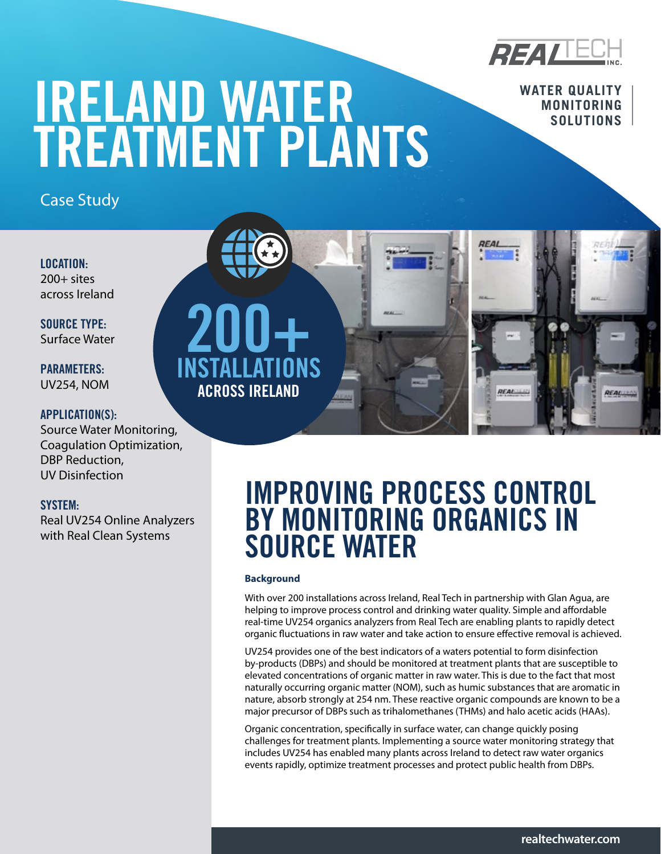

**WATER QUALITY** 

REAL

# IRELAND WATER WATER MONITORING TREATMENT PLANTS

Case Study

LOCATION:  $200+$  sites across Ireland

SOURCE TYPE: Surface Water

PARAMETERS: UV254, NOM

## APPLICATION(S):

Source Water Monitoring, Coagulation Optimization, DBP Reduction, UV Disinfection

## SYSTEM:

Real UV254 Online Analyzers with Real Clean Systems

200+ INSTALLATIONS ACROSS IRELAND

# IMPROVING PROCESS CONTROL BY MONITORING ORGANICS IN SOURCE WATER

**REAL** 

### **Background**

With over 200 installations across Ireland, Real Tech in partnership with Glan Agua, are helping to improve process control and drinking water quality. Simple and affordable real-time UV254 organics analyzers from Real Tech are enabling plants to rapidly detect organic fluctuations in raw water and take action to ensure effective removal is achieved.

UV254 provides one of the best indicators of a waters potential to form disinfection by-products (DBPs) and should be monitored at treatment plants that are susceptible to elevated concentrations of organic matter in raw water. This is due to the fact that most naturally occurring organic matter (NOM), such as humic substances that are aromatic in nature, absorb strongly at 254 nm. These reactive organic compounds are known to be a major precursor of DBPs such as trihalomethanes (THMs) and halo acetic acids (HAAs).

Organic concentration, specifically in surface water, can change quickly posing challenges for treatment plants. Implementing a source water monitoring strategy that includes UV254 has enabled many plants across Ireland to detect raw water organics events rapidly, optimize treatment processes and protect public health from DBPs.